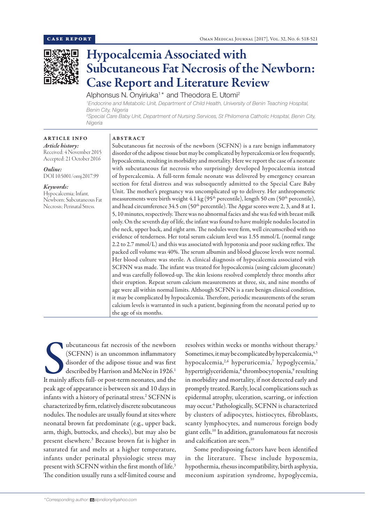

# Hypocalcemia Associated with Subcutaneous Fat Necrosis of the Newborn: Case Report and Literature Review

Alphonsus N. Onyiriuka<sup>1\*</sup> and Theodora E. Utomi<sup>2</sup>

*1 Endocrine and Metabolic Unit, Department of Child Health, University of Benin Teaching Hospital, Benin City, Nigeria*

*2 Special Care Baby Unit, Department of Nursing Services, St Philomena Catholic Hospital, Benin City, Nigeria*

#### ARTICLE INFO

# ABSTRACT

*Article history:* Received: 4 November 2015 Accepted: 21 October 2016

## *Online:*

DOI 10.5001/omj.2017.99

# *Keywords:*

Hypocalcemia; Infant, Newborn; Subcutaneous Fat Necrosis; Perinatal Stress.

Subcutaneous fat necrosis of the newborn (SCFNN) is a rare benign inflammatory disorder of the adipose tissue but may be complicated by hypercalcemia or less frequently, hypocalcemia, resulting in morbidity and mortality. Here we report the case of a neonate with subcutaneous fat necrosis who surprisingly developed hypocalcemia instead of hypercalcemia. A full-term female neonate was delivered by emergency cesarean section for fetal distress and was subsequently admitted to the Special Care Baby Unit. The mother's pregnancy was uncomplicated up to delivery. Her anthropometric measurements were birth weight 4.1 kg (95<sup>th</sup> percentile), length 50 cm (50<sup>th</sup> percentile), and head circumference 34.5 cm (50<sup>th</sup> percentile). The Apgar scores were 2, 3, and 8 at 1, 5, 10 minutes, respectively. There was no abnormal facies and she was fed with breast milk only. On the seventh day of life, the infant was found to have multiple nodules located in the neck, upper back, and right arm. The nodules were firm, well circumscribed with no evidence of tenderness. Her total serum calcium level was 1.55 mmol/L (normal range 2.2 to 2.7 mmol/L) and this was associated with hypotonia and poor sucking reflex. The packed cell volume was 40%. The serum albumin and blood glucose levels were normal. Her blood culture was sterile. A clinical diagnosis of hypocalcemia associated with SCFNN was made. The infant was treated for hypocalcemia (using calcium gluconate) and was carefully followed-up. The skin lesions resolved completely three months after their eruption. Repeat serum calcium measurements at three, six, and nine months of age were all within normal limits. Although SCFNN is a rare benign clinical condition, it may be complicated by hypocalcemia. Therefore, periodic measurements of the serum calcium levels is warranted in such a patient, beginning from the neonatal period up to the age of six months.

ubcutaneous fat necrosis of the newborn (SCFNN) is an uncommon inflammatory disorder of the adipose tissue and was first described by Harrison and McNee in 1926.<sup>1</sup><br>It mainly affects full- or post-term neonates, and the ubcutaneous fat necrosis of the newborn (SCFNN) is an uncommon inflammatory disorder of the adipose tissue and was first described by Harrison and McNee in 1926.<sup>1</sup> peak age of appearance is between six and 10 days in infants with a history of perinatal stress.<sup>2</sup> SCFNN is characterized by firm, relatively discrete subcutaneous nodules. The nodules are usually found at sites where neonatal brown fat predominate (e.g., upper back, arm, thigh, buttocks, and cheeks), but may also be present elsewhere.3 Because brown fat is higher in saturated fat and melts at a higher temperature, infants under perinatal physiologic stress may present with SCFNN within the first month of life.<sup>3</sup> The condition usually runs a self-limited course and

resolves within weeks or months without therapy.<sup>2</sup> Sometimes, it may be complicated by hypercalcemia,  $4,5$ hypocalcemia,<sup>2,6</sup> hyperuricemia,<sup>7</sup> hypoglycemia,<sup>7</sup> hypertriglyceridemia,<sup>8</sup> thrombocytopenia,<sup>9</sup> resulting in morbidity and mortality, if not detected early and promptly treated. Rarely, local complications such as epidermal atrophy, ulceration, scarring, or infection may occur.4 Pathologically, SCFNN is characterized by clusters of adipocytes, histiocytes, fibroblasts, scanty lymphocytes, and numerous foreign body giant cells.10 In addition, granulomatous fat necrosis and calcification are seen.<sup>10</sup>

Some predisposing factors have been identified in the literature. These include hypoxemia, hypothermia, rhesus incompatibility, birth asphyxia, meconium aspiration syndrome, hypoglycemia,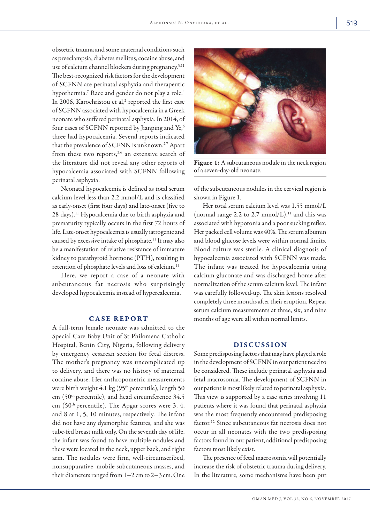obstetric trauma and some maternal conditions such as preeclampsia, diabetes mellitus, cocaine abuse, and use of calcium channel blockers during pregnancy.3,11 The best-recognized risk factors for the development of SCFNN are perinatal asphyxia and therapeutic hypothermia.<sup>7</sup> Race and gender do not play a role.<sup>4</sup> In 2006, Karochristou et al,<sup>2</sup> reported the first case of SCFNN associated with hypocalcemia in a Greek neonate who suffered perinatal asphyxia. In 2014, of four cases of SCFNN reported by Jianping and Ye,<sup>6</sup> three had hypocalcemia. Several reports indicated that the prevalence of SCFNN is unknown.<sup>2,7</sup> Apart from these two reports,<sup>2,6</sup> an extensive search of the literature did not reveal any other reports of hypocalcemia associated with SCFNN following perinatal asphyxia.

Neonatal hypocalcemia is defined as total serum calcium level less than 2.2 mmol/L and is classified as early-onset (first four days) and late-onset (five to 28 days).11 Hypocalcemia due to birth asphyxia and prematurity typically occurs in the first 72 hours of life. Late-onset hypocalcemia is usually iatrogenic and caused by excessive intake of phosphate.11 It may also be a manifestation of relative resistance of immature kidney to parathyroid hormone (PTH), resulting in retention of phosphate levels and loss of calcium.<sup>11</sup>

Here, we report a case of a neonate with subcutaneous fat necrosis who surprisingly developed hypocalcemia instead of hypercalcemia.

### CASE REPORT

A full-term female neonate was admitted to the Special Care Baby Unit of St Philomena Catholic Hospital, Benin City, Nigeria, following delivery by emergency cesarean section for fetal distress. The mother's pregnancy was uncomplicated up to delivery, and there was no history of maternal cocaine abuse. Her anthropometric measurements were birth weight 4.1 kg (95<sup>th</sup> percentile), length 50 cm (50th percentile), and head circumference 34.5 cm (50th percentile). The Apgar scores were 3, 4, and 8 at 1, 5, 10 minutes, respectively. The infant did not have any dysmorphic features, and she was tube-fed breast milk only. On the seventh day of life, the infant was found to have multiple nodules and these were located in the neck, upper back, and right arm. The nodules were firm, well-circumscribed, nonsuppurative, mobile subcutaneous masses, and their diameters ranged from  $1-2$  cm to  $2-3$  cm. One



Figure 1: A subcutaneous nodule in the neck region of a seven-day-old neonate.

of the subcutaneous nodules in the cervical region is shown in Figure 1.

Her total serum calcium level was 1.55 mmol/L (normal range 2.2 to 2.7 mmol/L), $^{11}$  and this was associated with hypotonia and a poor sucking reflex. Her packed cell volume was 40%. The serum albumin and blood glucose levels were within normal limits. Blood culture was sterile. A clinical diagnosis of hypocalcemia associated with SCFNN was made. The infant was treated for hypocalcemia using calcium gluconate and was discharged home after normalization of the serum calcium level. The infant was carefully followed-up. The skin lesions resolved completely three months after their eruption. Repeat serum calcium measurements at three, six, and nine months of age were all within normal limits.

#### DISCUSSION

Some predisposing factors that may have played a role in the development of SCFNN in our patient need to be considered. These include perinatal asphyxia and fetal macrosomia. The development of SCFNN in our patient is most likely related to perinatal asphyxia. This view is supported by a case series involving 11 patients where it was found that perinatal asphyxia was the most frequently encountered predisposing factor.12 Since subcutaneous fat necrosis does not occur in all neonates with the two predisposing factors found in our patient, additional predisposing factors most likely exist.

The presence of fetal macrosomia will potentially increase the risk of obstetric trauma during delivery. In the literature, some mechanisms have been put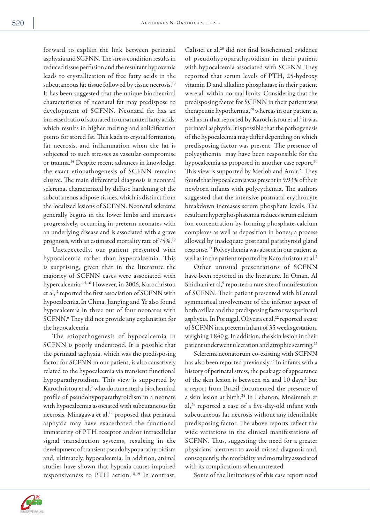forward to explain the link between perinatal asphyxia and SCFNN. The stress condition results in reduced tissue perfusion and the resultant hypoxemia leads to crystallization of free fatty acids in the subcutaneous fat tissue followed by tissue necrosis.<sup>13</sup> It has been suggested that the unique biochemical characteristics of neonatal fat may predispose to development of SCFNN. Neonatal fat has an increased ratio of saturated to unsaturated fatty acids, which results in higher melting and solidification points for stored fat. This leads to crystal formation, fat necrosis, and inflammation when the fat is subjected to such stresses as vascular compromise or trauma.14 Despite recent advances in knowledge, the exact etiopathogenesis of SCFNN remains elusive. The main differential diagnosis is neonatal sclerema, characterized by diffuse hardening of the subcutaneous adipose tissues, which is distinct from the localized lesions of SCFNN. Neonatal sclerema generally begins in the lower limbs and increases progressively, occurring in preterm neonates with an underlying disease and is associated with a grave prognosis, with an estimated mortality rate of 75%.15

Unexpectedly, our patient presented with hypocalcemia rather than hypercalcemia. This is surprising, given that in the literature the majority of SCFNN cases were associated with hypercalcemia.4,5,16 However, in 2006, Karochristou et al, <sup>2</sup> reported the first association of SCFNN with hypocalcemia.In China, Jianping and Ye also found hypocalcemia in three out of four neonates with SCFNN.<sup>6</sup> They did not provide any explanation for the hypocalcemia.

The etiopathogenesis of hypocalcemia in SCFNN is poorly understood. It is possible that the perinatal asphyxia, which was the predisposing factor for SCFNN in our patient, is also causatively related to the hypocalcemia via transient functional hypoparathyroidism. This view is supported by Karochristou et al,<sup>2</sup> who documented a biochemical profile of pseudohypoparathyroidism in a neonate with hypocalcemia associated with subcutaneous fat necrosis. Minagawa et al,<sup>17</sup> proposed that perinatal asphyxia may have exacerbated the functional immaturity of PTH receptor and/or intracellular signal transduction systems, resulting in the development of transient pseudohypoparathyroidism and, ultimately, hypocalcemia. In addition, animal studies have shown that hypoxia causes impaired responsiveness to PTH action.<sup>18,19</sup> In contrast,

Calisici et al,<sup>20</sup> did not find biochemical evidence of pseudohypoparathyroidism in their patient with hypocalcemia associated with SCFNN. They reported that serum levels of PTH, 25-hydroxy vitamin D and alkaline phosphatase in their patient were all within normal limits. Considering that the predisposing factor for SCFNN in their patient was therapeutic hypothermia,<sup>20</sup> whereas in our patient as well as in that reported by Karochristou et al,<sup>2</sup> it was perinatal asphyxia. It is possible that the pathogenesis of the hypocalcemia may differ depending on which predisposing factor was present. The presence of polycythemia may have been responsible for the hypocalcemia as proposed in another case report.<sup>20</sup> This view is supported by Merlob and Amir.<sup>21</sup> They found that hypocalcemia was present in 9.93% of their newborn infants with polycythemia. The authors suggested that the intensive postnatal erythrocyte breakdown increases serum phosphate levels. The resultant hyperphosphatemia reduces serum calcium ion concentration by forming phosphate-calcium complexes as well as deposition in bones; a process allowed by inadequate postnatal parathyroid gland response.21 Polycythemia was absent in our patient as well as in the patient reported by Karochristou et al.<sup>2</sup>

Other unusual presentations of SCFNN have been reported in the literature. In Oman, Al Shidhani et al,<sup>5</sup> reported a rare site of manifestation of SCFNN. Their patient presented with bilateral symmetrical involvement of the inferior aspect of both axillae and the predisposing factor was perinatal asphyxia. In Portugal, Oliveira et al,<sup>22</sup> reported a case of SCFNN in a preterm infant of 35 weeks gestation, weighing 1 840 g. In addition, the skin lesion in their patient underwent ulceration and atrophic scarring.<sup>22</sup>

Sclerema neonatorum co-existing with SCFNN has also been reported previously.<sup>23</sup> In infants with a history of perinatal stress, the peak age of appearance of the skin lesion is between six and 10 days,<sup>2</sup> but a report from Brazil documented the presence of a skin lesion at birth.24 In Lebanon, Mneimneh et al,25 reported a case of a five-day-old infant with subcutaneous fat necrosis without any identifiable predisposing factor. The above reports reflect the wide variations in the clinical manifestations of SCFNN. Thus, suggesting the need for a greater physicians' alertness to avoid missed diagnosis and, consequently, the morbidity and mortality associated with its complications when untreated.

Some of the limitations of this case report need